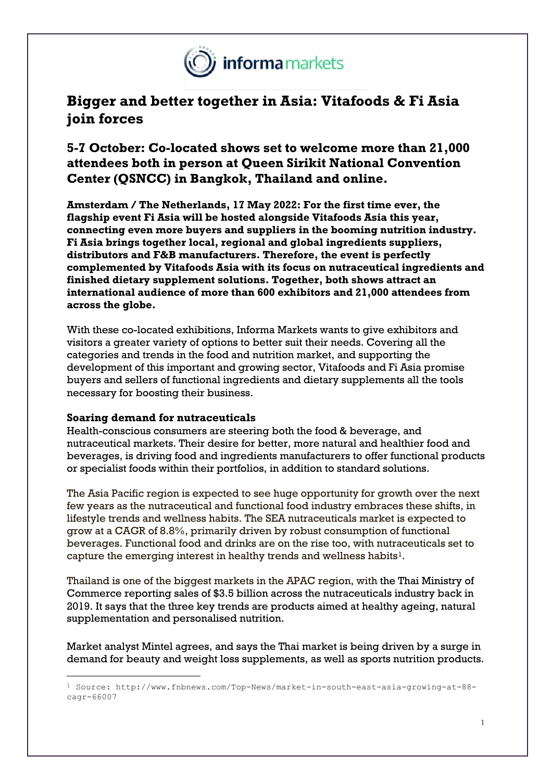

# **Bigger and better together in Asia: Vitafoods & Fi Asia join forces**

## **5-7 October: Co-located shows set to welcome more than 21,000 attendees both in person at Queen Sirikit National Convention Center (QSNCC) in Bangkok, Thailand and online.**

**Amsterdam / The Netherlands, 17 May 2022: For the first time ever, the flagship event Fi Asia will be hosted alongside Vitafoods Asia this year, connecting even more buyers and suppliers in the booming nutrition industry. Fi Asia brings together local, regional and global ingredients suppliers, distributors and F&B manufacturers. Therefore, the event is perfectly complemented by Vitafoods Asia with its focus on nutraceutical ingredients and finished dietary supplement solutions. Together, both shows attract an international audience of more than 600 exhibitors and 21,000 attendees from across the globe.**

With these co-located exhibitions, Informa Markets wants to give exhibitors and visitors a greater variety of options to better suit their needs. Covering all the categories and trends in the food and nutrition market, and supporting the development of this important and growing sector, Vitafoods and Fi Asia promise buyers and sellers of functional ingredients and dietary supplements all the tools necessary for boosting their business.

### **Soaring demand for nutraceuticals**

Health-conscious consumers are steering both the food & beverage, and nutraceutical markets. Their desire for better, more natural and healthier food and beverages, is driving food and ingredients manufacturers to offer functional products or specialist foods within their portfolios, in addition to standard solutions.

The Asia Pacific region is expected to see huge opportunity for growth over the next few years as the nutraceutical and functional food industry embraces these shifts, in lifestyle trends and wellness habits. The SEA nutraceuticals market is expected to grow at a CAGR of 8.8%, primarily driven by robust consumption of functional beverages. Functional food and drinks are on the rise too, with nutraceuticals set to capture the emerging interest in healthy trends and wellness habits<sup>[1](#page-0-0)</sup>.

Thailand is one of the biggest markets in the APAC region, with the Thai Ministry of Commerce reporting sales of \$3.5 billion across the nutraceuticals industry back in 2019. It says that the three key trends are products aimed at healthy ageing, natural supplementation and personalised nutrition.

Market analyst Mintel agrees, and says the Thai market is being driven by a surge in demand for beauty and weight loss supplements, as well as sports nutrition products.

<span id="page-0-0"></span><sup>1</sup> Source: http://www.fnbnews.com/Top-News/market-in-south-east-asia-growing-at-88 cagr-66007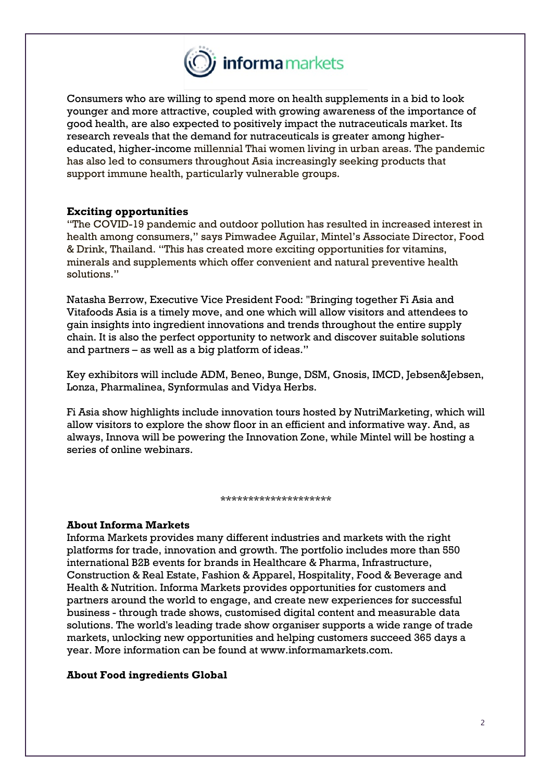

Consumers who are willing to spend more on health supplements in a bid to look younger and more attractive, coupled with growing awareness of the importance of good health, are also expected to positively impact the nutraceuticals market. Its research reveals that the demand for nutraceuticals is greater among highereducated, higher-income millennial Thai women living in urban areas. The pandemic has also led to consumers throughout Asia increasingly seeking products that support immune health, particularly vulnerable groups.

#### **Exciting opportunities**

"The COVID-19 pandemic and outdoor pollution has resulted in increased interest in health among consumers," says Pimwadee Aguilar, Mintel's Associate Director, Food & Drink, Thailand. "This has created more exciting opportunities for vitamins, minerals and supplements which offer convenient and natural preventive health solutions."

Natasha Berrow, Executive Vice President Food: "Bringing together Fi Asia and Vitafoods Asia is a timely move, and one which will allow visitors and attendees to gain insights into ingredient innovations and trends throughout the entire supply chain. It is also the perfect opportunity to network and discover suitable solutions and partners – as well as a big platform of ideas."

Key exhibitors will include ADM, Beneo, Bunge, DSM, Gnosis, IMCD, Jebsen&Jebsen, Lonza, Pharmalinea, Synformulas and Vidya Herbs.

Fi Asia show highlights include innovation tours hosted by NutriMarketing, which will allow visitors to explore the show floor in an efficient and informative way. And, as always, Innova will be powering the Innovation Zone, while Mintel will be hosting a series of online webinars.

\*\*\*\*\*\*\*\*\*\*\*\*\*\*\*\*\*\*\*\*

#### **About Informa Markets**

Informa Markets provides many different industries and markets with the right platforms for trade, innovation and growth. The portfolio includes more than 550 international B2B events for brands in Healthcare & Pharma, Infrastructure, Construction & Real Estate, Fashion & Apparel, Hospitality, Food & Beverage and Health & Nutrition. Informa Markets provides opportunities for customers and partners around the world to engage, and create new experiences for successful business - through trade shows, customised digital content and measurable data solutions. The world's leading trade show organiser supports a wide range of trade markets, unlocking new opportunities and helping customers succeed 365 days a year. More information can be found at www.informamarkets.com.

#### **About Food ingredients Global**